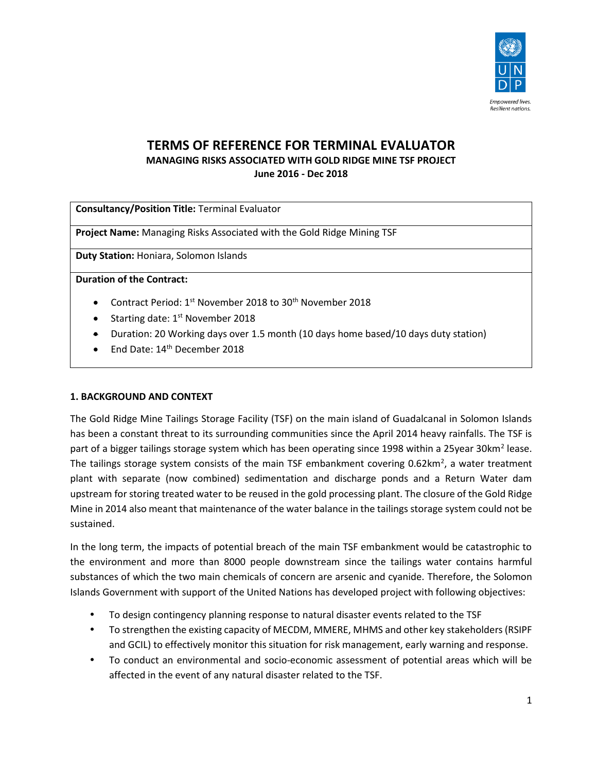

# **TERMS OF REFERENCE FOR TERMINAL EVALUATOR MANAGING RISKS ASSOCIATED WITH GOLD RIDGE MINE TSF PROJECT June 2016 - Dec 2018**

**Consultancy/Position Title:** Terminal Evaluator

**Project Name:** Managing Risks Associated with the Gold Ridge Mining TSF

**Duty Station:** Honiara, Solomon Islands

**Duration of the Contract:** 

- Contract Period: 1st November 2018 to 30<sup>th</sup> November 2018
- Starting date:  $1<sup>st</sup>$  November 2018
- Duration: 20 Working days over 1.5 month (10 days home based/10 days duty station)
- End Date: 14<sup>th</sup> December 2018

## **1. BACKGROUND AND CONTEXT**

The Gold Ridge Mine Tailings Storage Facility (TSF) on the main island of Guadalcanal in Solomon Islands has been a constant threat to its surrounding communities since the April 2014 heavy rainfalls. The TSF is part of a bigger tailings storage system which has been operating since 1998 within a 25year 30km<sup>2</sup> lease. The tailings storage system consists of the main TSF embankment covering 0.62km<sup>2</sup>, a water treatment plant with separate (now combined) sedimentation and discharge ponds and a Return Water dam upstream for storing treated water to be reused in the gold processing plant. The closure of the Gold Ridge Mine in 2014 also meant that maintenance of the water balance in the tailings storage system could not be sustained.

In the long term, the impacts of potential breach of the main TSF embankment would be catastrophic to the environment and more than 8000 people downstream since the tailings water contains harmful substances of which the two main chemicals of concern are arsenic and cyanide. Therefore, the Solomon Islands Government with support of the United Nations has developed project with following objectives:

- To design contingency planning response to natural disaster events related to the TSF
- To strengthen the existing capacity of MECDM, MMERE, MHMS and other key stakeholders (RSIPF and GCIL) to effectively monitor this situation for risk management, early warning and response.
- To conduct an environmental and socio-economic assessment of potential areas which will be affected in the event of any natural disaster related to the TSF.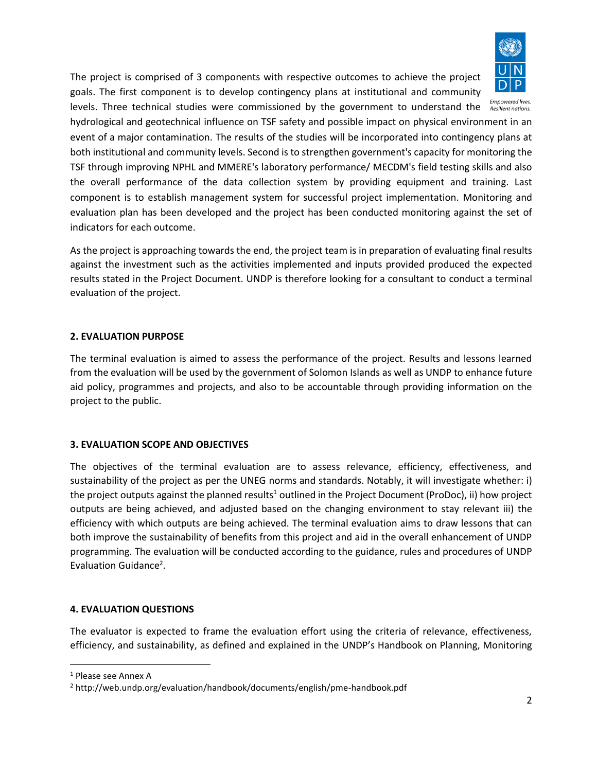

The project is comprised of 3 components with respective outcomes to achieve the project goals. The first component is to develop contingency plans at institutional and community

levels. Three technical studies were commissioned by the government to understand the **ERESIPIENT DUGINES** hydrological and geotechnical influence on TSF safety and possible impact on physical environment in an event of a major contamination. The results of the studies will be incorporated into contingency plans at both institutional and community levels. Second is to strengthen government's capacity for monitoring the TSF through improving NPHL and MMERE's laboratory performance/ MECDM's field testing skills and also the overall performance of the data collection system by providing equipment and training. Last component is to establish management system for successful project implementation. Monitoring and evaluation plan has been developed and the project has been conducted monitoring against the set of indicators for each outcome.

As the project is approaching towards the end, the project team is in preparation of evaluating final results against the investment such as the activities implemented and inputs provided produced the expected results stated in the Project Document. UNDP is therefore looking for a consultant to conduct a terminal evaluation of the project.

# **2. EVALUATION PURPOSE**

The terminal evaluation is aimed to assess the performance of the project. Results and lessons learned from the evaluation will be used by the government of Solomon Islands as well as UNDP to enhance future aid policy, programmes and projects, and also to be accountable through providing information on the project to the public.

# **3. EVALUATION SCOPE AND OBJECTIVES**

The objectives of the terminal evaluation are to assess relevance, efficiency, effectiveness, and sustainability of the project as per the UNEG norms and standards. Notably, it will investigate whether: i) the project outputs against the planned results<sup>1</sup> outlined in the Project Document (ProDoc), ii) how project outputs are being achieved, and adjusted based on the changing environment to stay relevant iii) the efficiency with which outputs are being achieved. The terminal evaluation aims to draw lessons that can both improve the sustainability of benefits from this project and aid in the overall enhancement of UNDP programming. The evaluation will be conducted according to the guidance, rules and procedures of UNDP Evaluation Guidance<sup>2</sup>.

## **4. EVALUATION QUESTIONS**

The evaluator is expected to frame the evaluation effort using the criteria of relevance, effectiveness, efficiency, and sustainability, as defined and explained in the UNDP's Handbook on Planning, Monitoring

l

<sup>1</sup> Please see Annex A

<sup>2</sup> http://web.undp.org/evaluation/handbook/documents/english/pme-handbook.pdf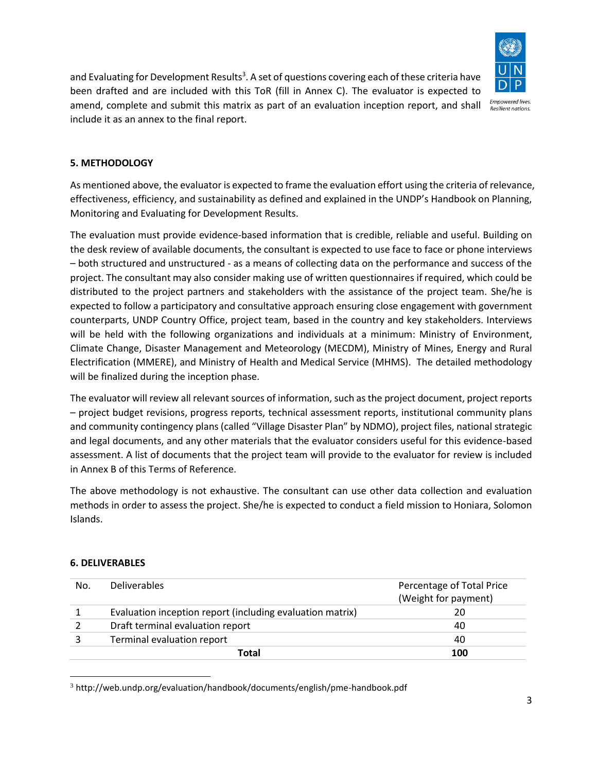

and Evaluating for Development Results<sup>3</sup>. A set of questions covering each of these criteria have been drafted and are included with this ToR (fill in Annex C). The evaluator is expected to amend, complete and submit this matrix as part of an evaluation inception report, and shall include it as an annex to the final report.

# **5. METHODOLOGY**

As mentioned above, the evaluator is expected to frame the evaluation effort using the criteria of relevance, effectiveness, efficiency, and sustainability as defined and explained in the UNDP's Handbook on Planning, Monitoring and Evaluating for Development Results.

The evaluation must provide evidence‐based information that is credible, reliable and useful. Building on the desk review of available documents, the consultant is expected to use face to face or phone interviews – both structured and unstructured - as a means of collecting data on the performance and success of the project. The consultant may also consider making use of written questionnaires if required, which could be distributed to the project partners and stakeholders with the assistance of the project team. She/he is expected to follow a participatory and consultative approach ensuring close engagement with government counterparts, UNDP Country Office, project team, based in the country and key stakeholders. Interviews will be held with the following organizations and individuals at a minimum: Ministry of Environment, Climate Change, Disaster Management and Meteorology (MECDM), Ministry of Mines, Energy and Rural Electrification (MMERE), and Ministry of Health and Medical Service (MHMS). The detailed methodology will be finalized during the inception phase.

The evaluator will review all relevant sources of information, such as the project document, project reports – project budget revisions, progress reports, technical assessment reports, institutional community plans and community contingency plans (called "Village Disaster Plan" by NDMO), project files, national strategic and legal documents, and any other materials that the evaluator considers useful for this evidence-based assessment. A list of documents that the project team will provide to the evaluator for review is included in Annex B of this Terms of Reference.

The above methodology is not exhaustive. The consultant can use other data collection and evaluation methods in order to assess the project. She/he is expected to conduct a field mission to Honiara, Solomon Islands.

## **6. DELIVERABLES**

 $\overline{\phantom{a}}$ 

| No. | <b>Deliverables</b>                                       | Percentage of Total Price<br>(Weight for payment) |
|-----|-----------------------------------------------------------|---------------------------------------------------|
|     | Evaluation inception report (including evaluation matrix) | 20                                                |
|     | Draft terminal evaluation report                          | 40                                                |
|     | Terminal evaluation report                                | 40                                                |
|     | Total                                                     | 100                                               |

<sup>3</sup> http://web.undp.org/evaluation/handbook/documents/english/pme-handbook.pdf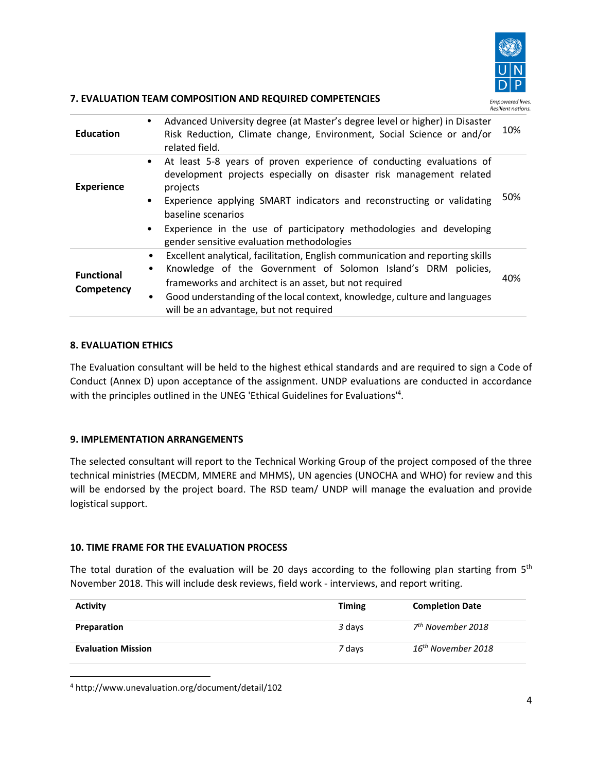

## **7. EVALUATION TEAM COMPOSITION AND REQUIRED COMPETENCIES**

| <b>Education</b>                | Advanced University degree (at Master's degree level or higher) in Disaster<br>$\bullet$<br>Risk Reduction, Climate change, Environment, Social Science or and/or<br>related field.                                                                                                                                                                                                                    | 10% |
|---------------------------------|--------------------------------------------------------------------------------------------------------------------------------------------------------------------------------------------------------------------------------------------------------------------------------------------------------------------------------------------------------------------------------------------------------|-----|
| <b>Experience</b>               | • At least 5-8 years of proven experience of conducting evaluations of<br>development projects especially on disaster risk management related<br>projects<br>Experience applying SMART indicators and reconstructing or validating<br>$\bullet$<br>baseline scenarios<br>Experience in the use of participatory methodologies and developing<br>$\bullet$<br>gender sensitive evaluation methodologies | 50% |
| <b>Functional</b><br>Competency | Excellent analytical, facilitation, English communication and reporting skills<br>$\bullet$<br>Knowledge of the Government of Solomon Island's DRM policies,<br>frameworks and architect is an asset, but not required<br>Good understanding of the local context, knowledge, culture and languages<br>will be an advantage, but not required                                                          | 40% |

# **8. EVALUATION ETHICS**

The Evaluation consultant will be held to the highest ethical standards and are required to sign a Code of Conduct (Annex D) upon acceptance of the assignment. UNDP evaluations are conducted in accordance with the principles outlined in the UNEG 'Ethical Guidelines for Evaluations'<sup>4</sup>.

## **9. IMPLEMENTATION ARRANGEMENTS**

The selected consultant will report to the Technical Working Group of the project composed of the three technical ministries (MECDM, MMERE and MHMS), UN agencies (UNOCHA and WHO) for review and this will be endorsed by the project board. The RSD team/ UNDP will manage the evaluation and provide logistical support.

## **10. TIME FRAME FOR THE EVALUATION PROCESS**

The total duration of the evaluation will be 20 days according to the following plan starting from  $5<sup>th</sup>$ November 2018. This will include desk reviews, field work - interviews, and report writing.

| <b>Activity</b>           | <b>Timing</b> | <b>Completion Date</b>         |
|---------------------------|---------------|--------------------------------|
| Preparation               | 3 days        | 7 <sup>th</sup> November 2018  |
| <b>Evaluation Mission</b> | 7 days        | 16 <sup>th</sup> November 2018 |

<sup>4</sup> http://www.unevaluation.org/document/detail/102

 $\overline{\phantom{a}}$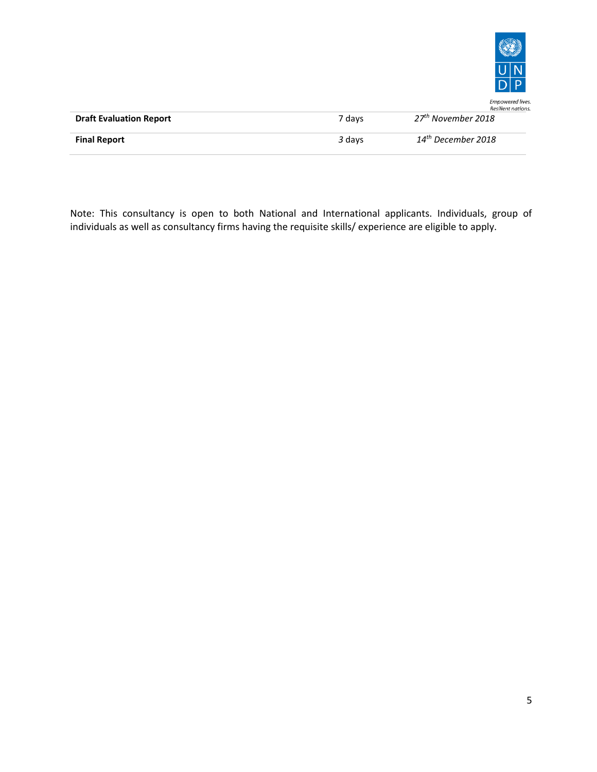

Empowered lives.

|                                | Resilient nations. |                                |  |
|--------------------------------|--------------------|--------------------------------|--|
| <b>Draft Evaluation Report</b> | 7 davs             | 27 <sup>th</sup> November 2018 |  |
| <b>Final Report</b>            | 3 days             | 14 <sup>th</sup> December 2018 |  |

Note: This consultancy is open to both National and International applicants. Individuals, group of individuals as well as consultancy firms having the requisite skills/ experience are eligible to apply.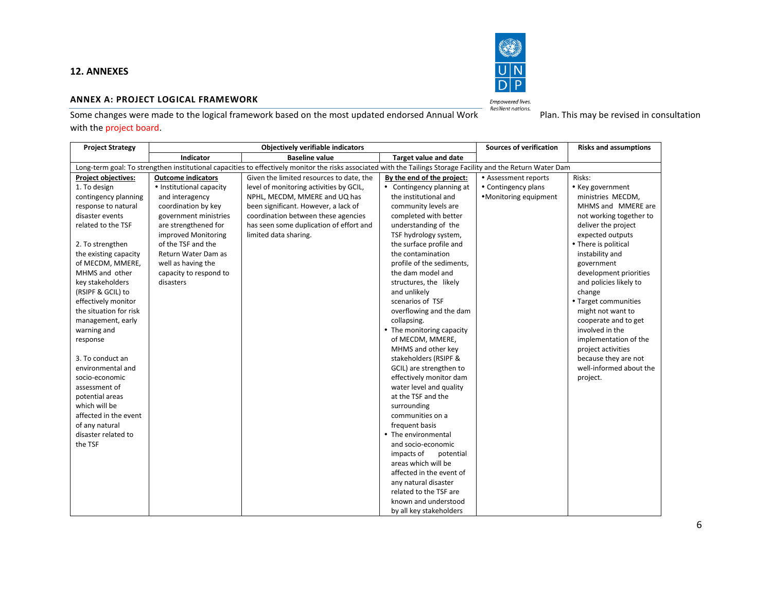

#### **ANNEX A: PROJECT LOGICAL FRAMEWORK**

Some changes were made to the logical framework based on the most updated endorsed Annual Work *Empowered lives.*<br>Some changes were made to the logical framework based on the most updated endorsed Annual Work Plan. This ma with the project board.

| <b>Project Strategy</b>    |                                                                                                                                                                | <b>Objectively verifiable indicators</b> |                              | <b>Sources of verification</b> | <b>Risks and assumptions</b> |  |  |
|----------------------------|----------------------------------------------------------------------------------------------------------------------------------------------------------------|------------------------------------------|------------------------------|--------------------------------|------------------------------|--|--|
|                            | Indicator                                                                                                                                                      | <b>Baseline value</b>                    | <b>Target value and date</b> |                                |                              |  |  |
|                            | Long-term goal: To strengthen institutional capacities to effectively monitor the risks associated with the Tailings Storage Facility and the Return Water Dam |                                          |                              |                                |                              |  |  |
| <b>Project objectives:</b> | <b>Outcome indicators</b>                                                                                                                                      | Given the limited resources to date, the | By the end of the project:   | • Assessment reports           | Risks:                       |  |  |
| 1. To design               | • Institutional capacity                                                                                                                                       | level of monitoring activities by GCIL,  | • Contingency planning at    | • Contingency plans            | • Key government             |  |  |
| contingency planning       | and interagency                                                                                                                                                | NPHL, MECDM, MMERE and UQ has            | the institutional and        | •Monitoring equipment          | ministries MECDM,            |  |  |
| response to natural        | coordination by key                                                                                                                                            | been significant. However, a lack of     | community levels are         |                                | MHMS and MMERE are           |  |  |
| disaster events            | government ministries                                                                                                                                          | coordination between these agencies      | completed with better        |                                | not working together to      |  |  |
| related to the TSF         | are strengthened for                                                                                                                                           | has seen some duplication of effort and  | understanding of the         |                                | deliver the project          |  |  |
|                            | improved Monitoring                                                                                                                                            | limited data sharing.                    | TSF hydrology system,        |                                | expected outputs             |  |  |
| 2. To strengthen           | of the TSF and the                                                                                                                                             |                                          | the surface profile and      |                                | • There is political         |  |  |
| the existing capacity      | Return Water Dam as                                                                                                                                            |                                          | the contamination            |                                | instability and              |  |  |
| of MECDM, MMERE,           | well as having the                                                                                                                                             |                                          | profile of the sediments,    |                                | government                   |  |  |
| MHMS and other             | capacity to respond to                                                                                                                                         |                                          | the dam model and            |                                | development priorities       |  |  |
| key stakeholders           | disasters                                                                                                                                                      |                                          | structures, the likely       |                                | and policies likely to       |  |  |
| (RSIPF & GCIL) to          |                                                                                                                                                                |                                          | and unlikely                 |                                | change                       |  |  |
| effectively monitor        |                                                                                                                                                                |                                          | scenarios of TSF             |                                | • Target communities         |  |  |
| the situation for risk     |                                                                                                                                                                |                                          | overflowing and the dam      |                                | might not want to            |  |  |
| management, early          |                                                                                                                                                                |                                          | collapsing.                  |                                | cooperate and to get         |  |  |
| warning and                |                                                                                                                                                                |                                          | • The monitoring capacity    |                                | involved in the              |  |  |
| response                   |                                                                                                                                                                |                                          | of MECDM, MMERE,             |                                | implementation of the        |  |  |
|                            |                                                                                                                                                                |                                          | MHMS and other key           |                                | project activities           |  |  |
| 3. To conduct an           |                                                                                                                                                                |                                          | stakeholders (RSIPF &        |                                | because they are not         |  |  |
| environmental and          |                                                                                                                                                                |                                          | GCIL) are strengthen to      |                                | well-informed about the      |  |  |
| socio-economic             |                                                                                                                                                                |                                          | effectively monitor dam      |                                | project.                     |  |  |
| assessment of              |                                                                                                                                                                |                                          | water level and quality      |                                |                              |  |  |
| potential areas            |                                                                                                                                                                |                                          | at the TSF and the           |                                |                              |  |  |
| which will be              |                                                                                                                                                                |                                          | surrounding                  |                                |                              |  |  |
| affected in the event      |                                                                                                                                                                |                                          | communities on a             |                                |                              |  |  |
| of any natural             |                                                                                                                                                                |                                          | frequent basis               |                                |                              |  |  |
| disaster related to        |                                                                                                                                                                |                                          | • The environmental          |                                |                              |  |  |
| the TSF                    |                                                                                                                                                                |                                          | and socio-economic           |                                |                              |  |  |
|                            |                                                                                                                                                                |                                          | impacts of<br>potential      |                                |                              |  |  |
|                            |                                                                                                                                                                |                                          | areas which will be          |                                |                              |  |  |
|                            |                                                                                                                                                                |                                          | affected in the event of     |                                |                              |  |  |
|                            |                                                                                                                                                                |                                          | any natural disaster         |                                |                              |  |  |
|                            |                                                                                                                                                                |                                          | related to the TSF are       |                                |                              |  |  |
|                            |                                                                                                                                                                |                                          | known and understood         |                                |                              |  |  |
|                            |                                                                                                                                                                |                                          | by all key stakeholders      |                                |                              |  |  |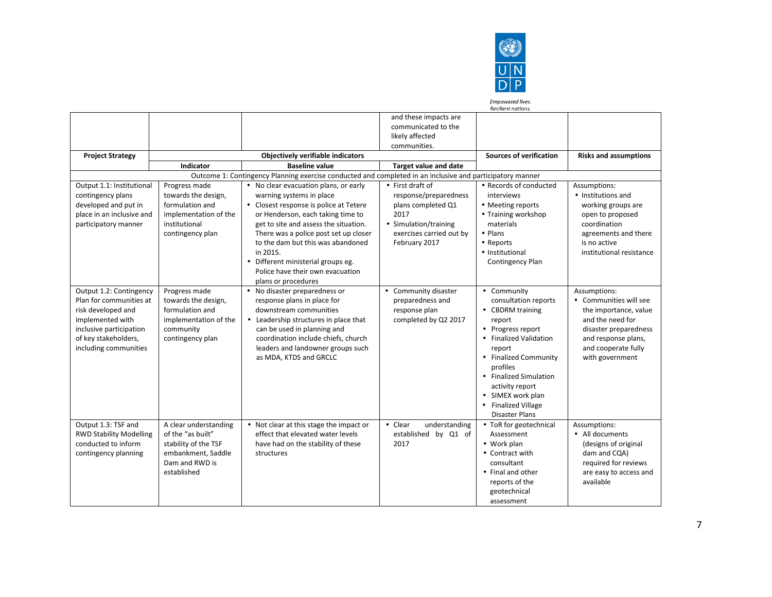

Empowered lives. Resilient nations.

and these impacts are communicated to the likely affected communities. **Project Strategy Notation Christial Computer Constructed Constructs Constructed Construction <b>Project Strategy Risks and assumptions Indicator Baseline value Target value and date** Outcome 1: Contingency Planning exercise conducted and completed in an inclusive and participatory manner Output 1.1: Institutional contingency plans developed and put in place in an inclusive and participatory manner Progress made towards the design, formulation and implementation of the institutional contingency plan No clear evacuation plans, or early warning systems in place Closest response is police at Tetere or Henderson, each taking time to get to site and assess the situation. There was a police post set up closer to the dam but this was abandoned in 2015. Different ministerial groups eg. Police have their own evacuation plans or procedures First draft of response/preparedness plans completed Q1 2017 • Simulation/training exercises carried out by February 2017 Records of conducted interviews • Meeting reports • Training workshop materials • Plans Reports • Institutional Contingency Plan Assumptions: • Institutions and working groups are open to proposed coordination agreements and there is no active institutional resistance Output 1.2: Contingency Plan for communities at risk developed and implemented with inclusive participation of key stakeholders, including communities Progress made towards the design, formulation and implementation of the community contingency plan No disaster preparedness or response plans in place for downstream communities Leadership structures in place that can be used in planning and coordination include chiefs, church leaders and landowner groups such as MDA, KTDS and GRCLC Community disaster preparedness and response plan completed by Q2 2017 • Community consultation reports CBDRM training report • Progress report • Finalized Validation report • Finalized Community profiles Finalized Simulation activity report SIMEX work plan • Finalized Village Disaster Plans Assumptions: Communities will see the importance, value and the need for disaster preparedness and response plans, and cooperate fully with government Output 1.3: TSF and RWD Stability Modelling conducted to inform contingency planning A clear understanding of the "as built" stability of the TSF embankment, Saddle Dam and RWD is established • Not clear at this stage the impact or effect that elevated water levels have had on the stability of these structures • Clear understanding established by Q1 of 2017 • ToR for geotechnical Assessment Work plan • Contract with consultant • Final and other reports of the geotechnical assessment Assumptions: All documents (designs of original dam and CQA) required for reviews are easy to access and available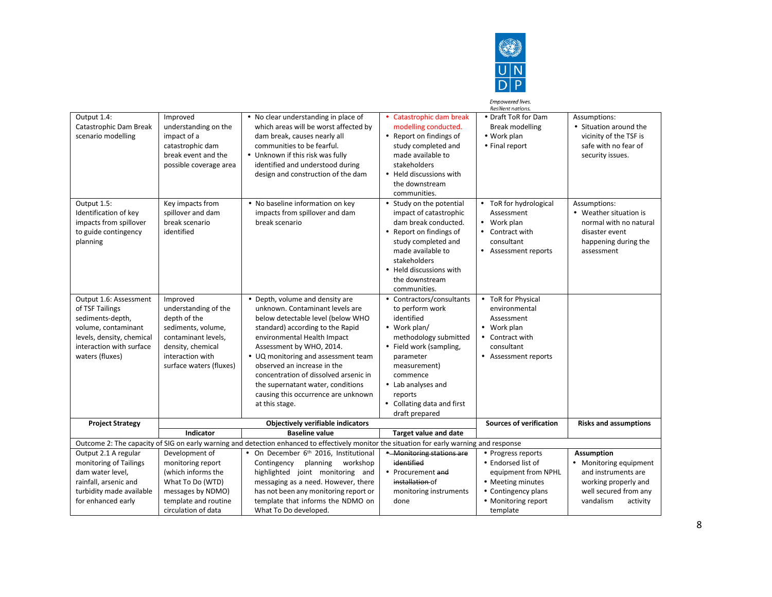

|                                                                                                                                                                  |                                                                                                                                                                   |                                                                                                                                                                                                                                                                                                                                                                                                                     |                                                                                                                                                                                                                                                          | Empowered lives.<br>Resilient nations.                                                                                    |                                                                                                                          |
|------------------------------------------------------------------------------------------------------------------------------------------------------------------|-------------------------------------------------------------------------------------------------------------------------------------------------------------------|---------------------------------------------------------------------------------------------------------------------------------------------------------------------------------------------------------------------------------------------------------------------------------------------------------------------------------------------------------------------------------------------------------------------|----------------------------------------------------------------------------------------------------------------------------------------------------------------------------------------------------------------------------------------------------------|---------------------------------------------------------------------------------------------------------------------------|--------------------------------------------------------------------------------------------------------------------------|
| Output 1.4:<br>Catastrophic Dam Break<br>scenario modelling                                                                                                      | Improved<br>understanding on the<br>impact of a<br>catastrophic dam<br>break event and the<br>possible coverage area                                              | • No clear understanding in place of<br>which areas will be worst affected by<br>dam break, causes nearly all<br>communities to be fearful.<br>• Unknown if this risk was fully<br>identified and understood during<br>design and construction of the dam                                                                                                                                                           | • Catastrophic dam break<br>modelling conducted.<br>• Report on findings of<br>study completed and<br>made available to<br>stakeholders<br>• Held discussions with<br>the downstream<br>communities.                                                     | • Draft ToR for Dam<br>Break modelling<br>• Work plan<br>• Final report                                                   | Assumptions:<br>• Situation around the<br>vicinity of the TSF is<br>safe with no fear of<br>security issues.             |
| Output 1.5:<br>Identification of key<br>impacts from spillover<br>to guide contingency<br>planning                                                               | Key impacts from<br>spillover and dam<br>break scenario<br>identified                                                                                             | • No baseline information on key<br>impacts from spillover and dam<br>break scenario                                                                                                                                                                                                                                                                                                                                | • Study on the potential<br>impact of catastrophic<br>dam break conducted.<br>• Report on findings of<br>study completed and<br>made available to<br>stakeholders<br>• Held discussions with<br>the downstream<br>communities.                           | • ToR for hydrological<br>Assessment<br>• Work plan<br>• Contract with<br>consultant<br>• Assessment reports              | Assumptions:<br>• Weather situation is<br>normal with no natural<br>disaster event<br>happening during the<br>assessment |
| Output 1.6: Assessment<br>of TSF Tailings<br>sediments-depth,<br>volume, contaminant<br>levels, density, chemical<br>interaction with surface<br>waters (fluxes) | Improved<br>understanding of the<br>depth of the<br>sediments, volume,<br>contaminant levels,<br>density, chemical<br>interaction with<br>surface waters (fluxes) | • Depth, volume and density are<br>unknown. Contaminant levels are<br>below detectable level (below WHO<br>standard) according to the Rapid<br>environmental Health Impact<br>Assessment by WHO, 2014.<br>• UQ monitoring and assessment team<br>observed an increase in the<br>concentration of dissolved arsenic in<br>the supernatant water, conditions<br>causing this occurrence are unknown<br>at this stage. | • Contractors/consultants<br>to perform work<br>identified<br>• Work plan/<br>methodology submitted<br>• Field work (sampling,<br>parameter<br>measurement)<br>commence<br>• Lab analyses and<br>reports<br>• Collating data and first<br>draft prepared | • ToR for Physical<br>environmental<br>Assessment<br>• Work plan<br>• Contract with<br>consultant<br>• Assessment reports |                                                                                                                          |
| <b>Project Strategy</b>                                                                                                                                          |                                                                                                                                                                   | <b>Objectively verifiable indicators</b>                                                                                                                                                                                                                                                                                                                                                                            |                                                                                                                                                                                                                                                          | <b>Sources of verification</b>                                                                                            | <b>Risks and assumptions</b>                                                                                             |
|                                                                                                                                                                  | Indicator                                                                                                                                                         | <b>Baseline value</b><br>Outcome 2: The capacity of SIG on early warning and detection enhanced to effectively monitor the situation for early warning and response                                                                                                                                                                                                                                                 | <b>Target value and date</b>                                                                                                                                                                                                                             |                                                                                                                           |                                                                                                                          |
| Output 2.1 A regular                                                                                                                                             | Development of                                                                                                                                                    | • On December 6th 2016, Institutional                                                                                                                                                                                                                                                                                                                                                                               | • Monitoring stations are                                                                                                                                                                                                                                | • Progress reports                                                                                                        | <b>Assumption</b>                                                                                                        |
| monitoring of Tailings<br>dam water level,                                                                                                                       | monitoring report<br>(which informs the                                                                                                                           | Contingency<br>planning<br>workshop<br>highlighted joint monitoring and                                                                                                                                                                                                                                                                                                                                             | identified<br>• Procurement and                                                                                                                                                                                                                          | • Endorsed list of<br>equipment from NPHL                                                                                 | • Monitoring equipment<br>and instruments are                                                                            |
| rainfall, arsenic and                                                                                                                                            | What To Do (WTD)                                                                                                                                                  | messaging as a need. However, there                                                                                                                                                                                                                                                                                                                                                                                 | installation of                                                                                                                                                                                                                                          | • Meeting minutes                                                                                                         | working properly and                                                                                                     |
| turbidity made available                                                                                                                                         | messages by NDMO)                                                                                                                                                 | has not been any monitoring report or                                                                                                                                                                                                                                                                                                                                                                               | monitoring instruments                                                                                                                                                                                                                                   | • Contingency plans                                                                                                       | well secured from any                                                                                                    |
| for enhanced early                                                                                                                                               | template and routine<br>circulation of data                                                                                                                       | template that informs the NDMO on<br>What To Do developed.                                                                                                                                                                                                                                                                                                                                                          | done                                                                                                                                                                                                                                                     | • Monitoring report<br>template                                                                                           | vandalism<br>activity                                                                                                    |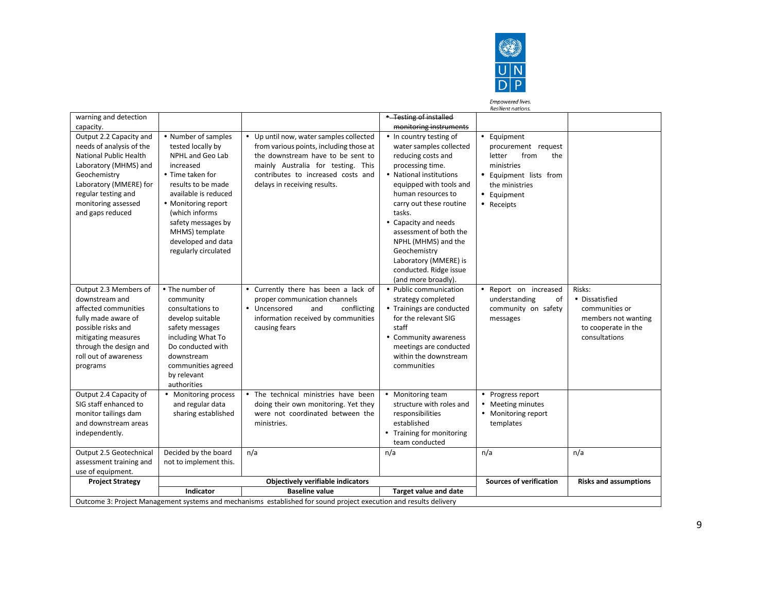

Empowered lives.<br>Resilient nations.

| warning and detection                                                                                                                                                                                              |                                                                                                                                                                                                                                                                             |                                                                                                                                                                                                                                     | * Testing of installed                                                                                                                                                                                                                                                                                                                                                           |                                                                                                                                                    |                                                                                                           |
|--------------------------------------------------------------------------------------------------------------------------------------------------------------------------------------------------------------------|-----------------------------------------------------------------------------------------------------------------------------------------------------------------------------------------------------------------------------------------------------------------------------|-------------------------------------------------------------------------------------------------------------------------------------------------------------------------------------------------------------------------------------|----------------------------------------------------------------------------------------------------------------------------------------------------------------------------------------------------------------------------------------------------------------------------------------------------------------------------------------------------------------------------------|----------------------------------------------------------------------------------------------------------------------------------------------------|-----------------------------------------------------------------------------------------------------------|
| capacity.                                                                                                                                                                                                          |                                                                                                                                                                                                                                                                             |                                                                                                                                                                                                                                     | monitoring instruments                                                                                                                                                                                                                                                                                                                                                           |                                                                                                                                                    |                                                                                                           |
| Output 2.2 Capacity and<br>needs of analysis of the<br>National Public Health<br>Laboratory (MHMS) and<br>Geochemistry<br>Laboratory (MMERE) for<br>regular testing and<br>monitoring assessed<br>and gaps reduced | • Number of samples<br>tested locally by<br>NPHL and Geo Lab<br>increased<br>• Time taken for<br>results to be made<br>available is reduced<br>• Monitoring report<br>(which informs)<br>safety messages by<br>MHMS) template<br>developed and data<br>regularly circulated | • Up until now, water samples collected<br>from various points, including those at<br>the downstream have to be sent to<br>mainly Australia for testing. This<br>contributes to increased costs and<br>delays in receiving results. | • In country testing of<br>water samples collected<br>reducing costs and<br>processing time.<br>• National institutions<br>equipped with tools and<br>human resources to<br>carry out these routine<br>tasks.<br>• Capacity and needs<br>assessment of both the<br>NPHL (MHMS) and the<br>Geochemistry<br>Laboratory (MMERE) is<br>conducted. Ridge issue<br>(and more broadly). | • Equipment<br>procurement request<br>letter<br>from<br>the<br>ministries<br>• Equipment lists from<br>the ministries<br>• Equipment<br>• Receipts |                                                                                                           |
| Output 2.3 Members of<br>downstream and<br>affected communities<br>fully made aware of<br>possible risks and<br>mitigating measures<br>through the design and<br>roll out of awareness<br>programs                 | • The number of<br>community<br>consultations to<br>develop suitable<br>safety messages<br>including What To<br>Do conducted with<br>downstream<br>communities agreed<br>by relevant<br>authorities                                                                         | • Currently there has been a lack of<br>proper communication channels<br>• Uncensored<br>and<br>conflicting<br>information received by communities<br>causing fears                                                                 | • Public communication<br>strategy completed<br>• Trainings are conducted<br>for the relevant SIG<br>staff<br>• Community awareness<br>meetings are conducted<br>within the downstream<br>communities                                                                                                                                                                            | Report on increased<br>of<br>understanding<br>community on safety<br>messages                                                                      | Risks:<br>• Dissatisfied<br>communities or<br>members not wanting<br>to cooperate in the<br>consultations |
| Output 2.4 Capacity of<br>SIG staff enhanced to<br>monitor tailings dam<br>and downstream areas<br>independently.                                                                                                  | • Monitoring process<br>and regular data<br>sharing established                                                                                                                                                                                                             | . The technical ministries have been<br>doing their own monitoring. Yet they<br>were not coordinated between the<br>ministries.                                                                                                     | • Monitoring team<br>structure with roles and<br>responsibilities<br>established<br>• Training for monitoring<br>team conducted                                                                                                                                                                                                                                                  | • Progress report<br>• Meeting minutes<br>• Monitoring report<br>templates                                                                         |                                                                                                           |
| Output 2.5 Geotechnical<br>assessment training and<br>use of equipment.                                                                                                                                            | Decided by the board<br>not to implement this.                                                                                                                                                                                                                              | n/a                                                                                                                                                                                                                                 | n/a                                                                                                                                                                                                                                                                                                                                                                              | n/a                                                                                                                                                | n/a                                                                                                       |
| <b>Project Strategy</b>                                                                                                                                                                                            |                                                                                                                                                                                                                                                                             | Objectively verifiable indicators                                                                                                                                                                                                   |                                                                                                                                                                                                                                                                                                                                                                                  | <b>Sources of verification</b>                                                                                                                     | <b>Risks and assumptions</b>                                                                              |
|                                                                                                                                                                                                                    | Indicator                                                                                                                                                                                                                                                                   | <b>Baseline value</b>                                                                                                                                                                                                               | Target value and date                                                                                                                                                                                                                                                                                                                                                            |                                                                                                                                                    |                                                                                                           |
|                                                                                                                                                                                                                    |                                                                                                                                                                                                                                                                             | Outcome 3: Project Management systems and mechanisms established for sound project execution and results delivery                                                                                                                   |                                                                                                                                                                                                                                                                                                                                                                                  |                                                                                                                                                    |                                                                                                           |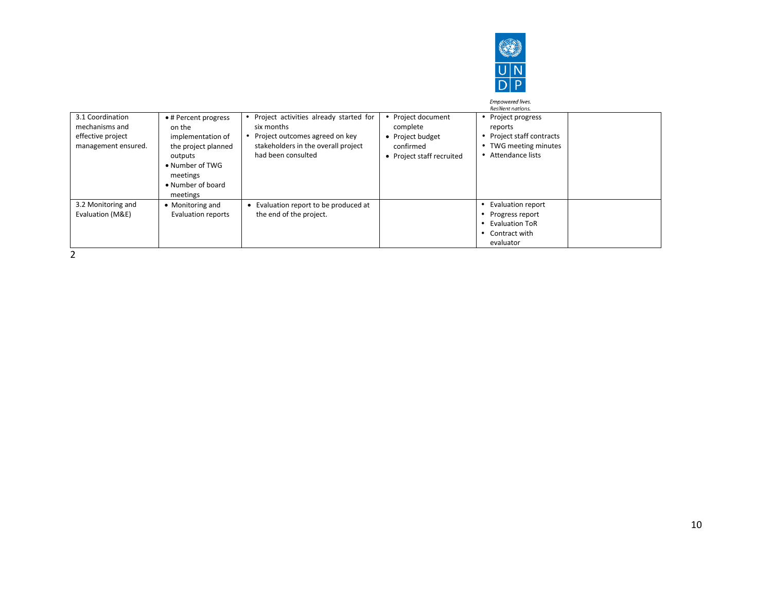

|                                                                                |                                                                                                                                                       |                                                                                                                                                     |                                                                                              | <b>Empowered lives.</b><br>Resilient nations.                                                                   |  |
|--------------------------------------------------------------------------------|-------------------------------------------------------------------------------------------------------------------------------------------------------|-----------------------------------------------------------------------------------------------------------------------------------------------------|----------------------------------------------------------------------------------------------|-----------------------------------------------------------------------------------------------------------------|--|
| 3.1 Coordination<br>mechanisms and<br>effective project<br>management ensured. | • # Percent progress<br>on the<br>implementation of<br>the project planned<br>outputs<br>• Number of TWG<br>meetings<br>• Number of board<br>meetings | Project activities already started for<br>six months<br>Project outcomes agreed on key<br>stakeholders in the overall project<br>had been consulted | • Project document<br>complete<br>• Project budget<br>confirmed<br>• Project staff recruited | • Project progress<br>reports<br>Project staff contracts<br>TWG meeting minutes<br>٠<br>Attendance lists        |  |
| 3.2 Monitoring and<br>Evaluation (M&E)                                         | • Monitoring and<br>Evaluation reports                                                                                                                | • Evaluation report to be produced at<br>the end of the project.                                                                                    |                                                                                              | <b>Evaluation report</b><br>Progress report<br><b>Evaluation ToR</b><br>$\bullet$<br>Contract with<br>evaluator |  |

2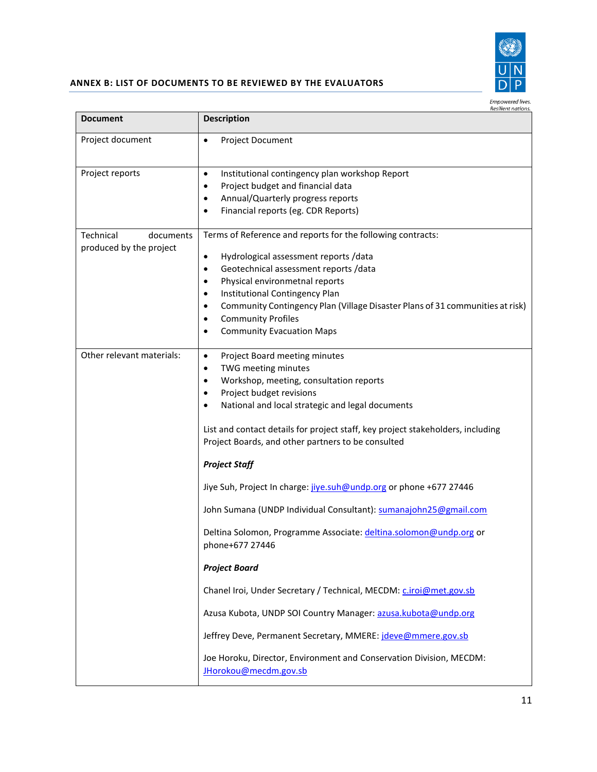

# **ANNEX B: LIST OF DOCUMENTS TO BE REVIEWED BY THE EVALUATORS**

| Empowered lives. |  |
|------------------|--|
|                  |  |

| Project Document                                                                                                                                                                                                                                                                                                                                                                                                                                                                                                                                                                                                                                                                                                                                                                                                  |
|-------------------------------------------------------------------------------------------------------------------------------------------------------------------------------------------------------------------------------------------------------------------------------------------------------------------------------------------------------------------------------------------------------------------------------------------------------------------------------------------------------------------------------------------------------------------------------------------------------------------------------------------------------------------------------------------------------------------------------------------------------------------------------------------------------------------|
| Institutional contingency plan workshop Report<br>Project budget and financial data<br>Annual/Quarterly progress reports<br>Financial reports (eg. CDR Reports)                                                                                                                                                                                                                                                                                                                                                                                                                                                                                                                                                                                                                                                   |
| Terms of Reference and reports for the following contracts:<br>Hydrological assessment reports /data<br>Geotechnical assessment reports /data<br>Physical environmetnal reports<br>Institutional Contingency Plan<br>Community Contingency Plan (Village Disaster Plans of 31 communities at risk)<br><b>Community Profiles</b><br><b>Community Evacuation Maps</b>                                                                                                                                                                                                                                                                                                                                                                                                                                               |
| Project Board meeting minutes<br>TWG meeting minutes<br>Workshop, meeting, consultation reports<br>Project budget revisions<br>National and local strategic and legal documents<br>List and contact details for project staff, key project stakeholders, including<br>Project Boards, and other partners to be consulted<br><b>Project Staff</b><br>Jiye Suh, Project In charge: jive.suh@undp.org or phone +677 27446<br>John Sumana (UNDP Individual Consultant): sumanajohn25@gmail.com<br>Deltina Solomon, Programme Associate: deltina.solomon@undp.org or<br>phone+677 27446<br><b>Project Board</b><br>Chanel Iroi, Under Secretary / Technical, MECDM: c.iroi@met.gov.sb<br>Azusa Kubota, UNDP SOI Country Manager: azusa.kubota@undp.org<br>Jeffrey Deve, Permanent Secretary, MMERE: jdeve@mmere.gov.sb |
|                                                                                                                                                                                                                                                                                                                                                                                                                                                                                                                                                                                                                                                                                                                                                                                                                   |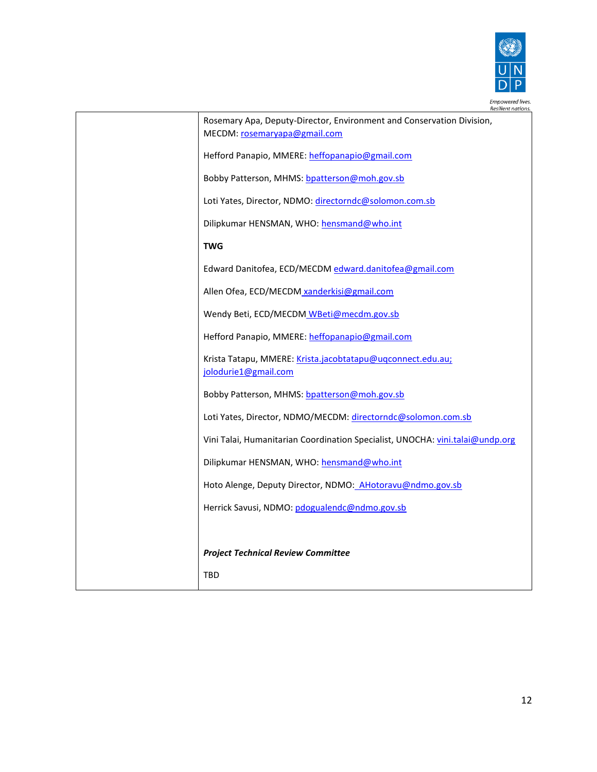

| Empowered lives.<br>Resilient nations.                                                                |
|-------------------------------------------------------------------------------------------------------|
| Rosemary Apa, Deputy-Director, Environment and Conservation Division,<br>MECDM: rosemaryapa@gmail.com |
| Hefford Panapio, MMERE: heffopanapio@gmail.com                                                        |
| Bobby Patterson, MHMS: bpatterson@moh.gov.sb                                                          |
| Loti Yates, Director, NDMO: directorndc@solomon.com.sb                                                |
| Dilipkumar HENSMAN, WHO: hensmand@who.int                                                             |
| <b>TWG</b>                                                                                            |
| Edward Danitofea, ECD/MECDM edward.danitofea@gmail.com                                                |
| Allen Ofea, ECD/MECDM xanderkisi@gmail.com                                                            |
| Wendy Beti, ECD/MECDM WBeti@mecdm.gov.sb                                                              |
| Hefford Panapio, MMERE: heffopanapio@gmail.com                                                        |
| Krista Tatapu, MMERE: Krista.jacobtatapu@uqconnect.edu.au;<br>jolodurie1@gmail.com                    |
| Bobby Patterson, MHMS: bpatterson@moh.gov.sb                                                          |
| Loti Yates, Director, NDMO/MECDM: directorndc@solomon.com.sb                                          |
| Vini Talai, Humanitarian Coordination Specialist, UNOCHA: vini.talai@undp.org                         |
| Dilipkumar HENSMAN, WHO: hensmand@who.int                                                             |
| Hoto Alenge, Deputy Director, NDMO: AHotoravu@ndmo.gov.sb                                             |
| Herrick Savusi, NDMO: pdogualendc@ndmo.gov.sb                                                         |
|                                                                                                       |
| <b>Project Technical Review Committee</b>                                                             |
| <b>TBD</b>                                                                                            |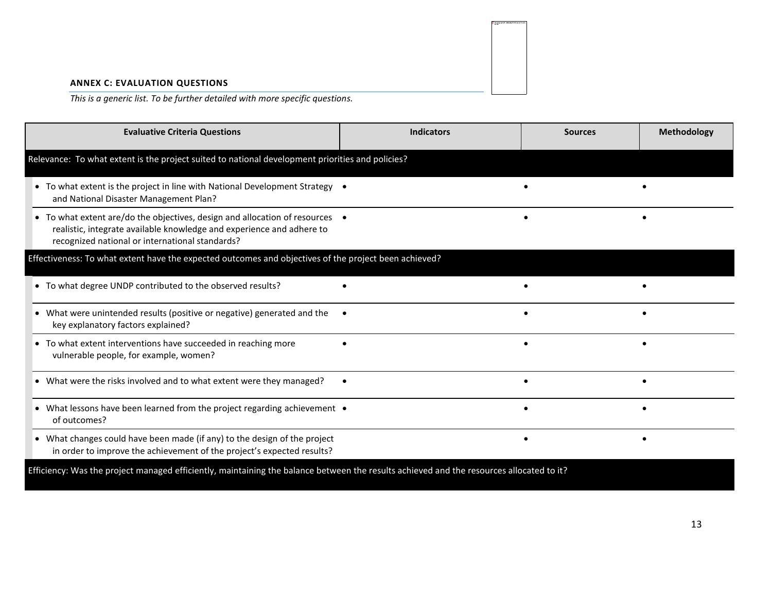#### **ANNEX C: EVALUATION QUESTIONS**

*This is a generic list. To be further detailed with more specific questions.*

| <b>Evaluative Criteria Questions</b>                                                                                                                                                                     | <b>Indicators</b> | <b>Sources</b> | Methodology |
|----------------------------------------------------------------------------------------------------------------------------------------------------------------------------------------------------------|-------------------|----------------|-------------|
| Relevance: To what extent is the project suited to national development priorities and policies?                                                                                                         |                   |                |             |
| • To what extent is the project in line with National Development Strategy .<br>and National Disaster Management Plan?                                                                                   |                   |                |             |
| • To what extent are/do the objectives, design and allocation of resources •<br>realistic, integrate available knowledge and experience and adhere to<br>recognized national or international standards? |                   |                |             |
| Effectiveness: To what extent have the expected outcomes and objectives of the project been achieved?                                                                                                    |                   |                |             |
| • To what degree UNDP contributed to the observed results?                                                                                                                                               |                   |                |             |
| What were unintended results (positive or negative) generated and the<br>$\bullet$<br>key explanatory factors explained?                                                                                 |                   |                |             |
| • To what extent interventions have succeeded in reaching more<br>vulnerable people, for example, women?                                                                                                 |                   |                |             |
| • What were the risks involved and to what extent were they managed?                                                                                                                                     |                   |                |             |
| • What lessons have been learned from the project regarding achievement •<br>of outcomes?                                                                                                                |                   |                |             |
| • What changes could have been made (if any) to the design of the project<br>in order to improve the achievement of the project's expected results?                                                      |                   |                |             |
| Efficiency: Was the project managed efficiently, maintaining the balance between the results achieved and the resources allocated to it?                                                                 |                   |                |             |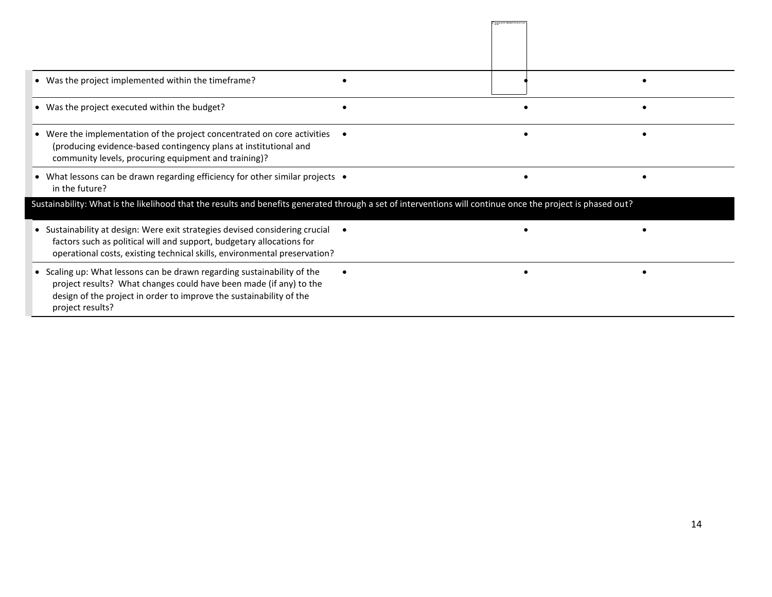| • Was the project implemented within the timeframe?                                                                                                                                                                                      |  |  |  |  |
|------------------------------------------------------------------------------------------------------------------------------------------------------------------------------------------------------------------------------------------|--|--|--|--|
| • Was the project executed within the budget?                                                                                                                                                                                            |  |  |  |  |
| • Were the implementation of the project concentrated on core activities<br>(producing evidence-based contingency plans at institutional and<br>community levels, procuring equipment and training)?                                     |  |  |  |  |
| • What lessons can be drawn regarding efficiency for other similar projects •<br>in the future?                                                                                                                                          |  |  |  |  |
| Sustainability: What is the likelihood that the results and benefits generated through a set of interventions will continue once the project is phased out?                                                                              |  |  |  |  |
| • Sustainability at design: Were exit strategies devised considering crucial<br>factors such as political will and support, budgetary allocations for<br>operational costs, existing technical skills, environmental preservation?       |  |  |  |  |
| • Scaling up: What lessons can be drawn regarding sustainability of the<br>project results? What changes could have been made (if any) to the<br>design of the project in order to improve the sustainability of the<br>project results? |  |  |  |  |